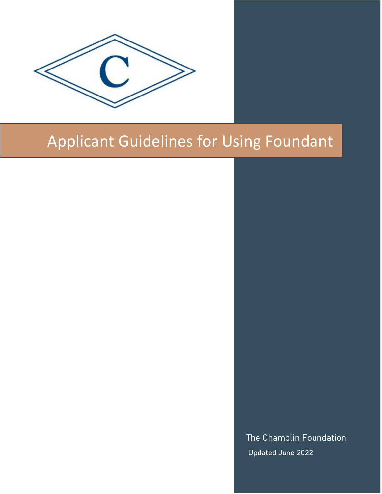

# Applicant Guidelines for Using Foundant

The Champlin Foundation Updated June 2022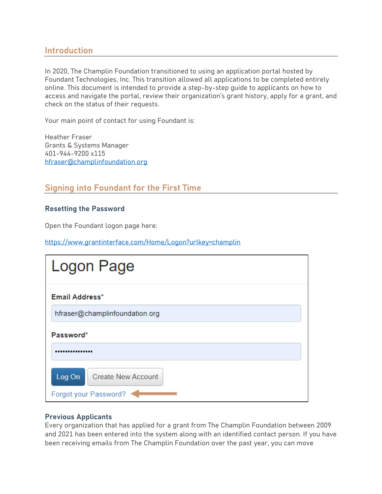# **Introduction**

In 2020, The Champlin Foundation transitioned to using an application portal hosted by Foundant Technologies, Inc. This transition allowed all applications to be completed entirely online. This document is intended to provide a step-by-step guide to applicants on how to access and navigate the portal, review their organization's grant history, apply for a grant, and check on the status of their requests.

Your main point of contact for using Foundant is:

Heather Fraser Grants & Systems Manager 401-944-9200 x115 [hfraser@champlinfoundation.org](mailto:hfraser@champlinfoundation.org)

# **Signing into Foundant for the First Time**

## **Resetting the Password**

Open the Foundant logon page here:

<https://www.grantinterface.com/Home/Logon?urlkey=champlin>

| Logon Page                                                   |
|--------------------------------------------------------------|
| Email Address*                                               |
| hfraser@champlinfoundation.org                               |
| Password*                                                    |
|                                                              |
| Log On<br><b>Create New Account</b><br>Forgot your Password? |

### **Previous Applicants**

Every organization that has applied for a grant from The Champlin Foundation between 2009 and 2021 has been entered into the system along with an identified contact person. If you have been receiving emails from The Champlin Foundation over the past year, you can move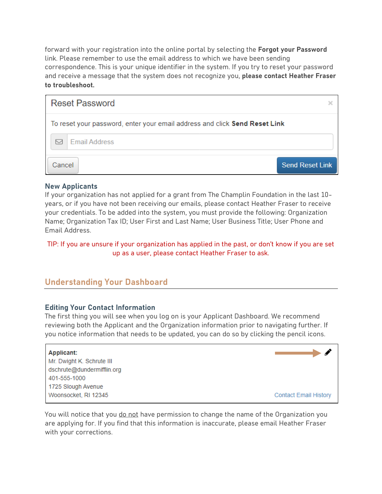forward with your registration into the online portal by selecting the **Forgot your Password** link. Please remember to use the email address to which we have been sending correspondence. This is your unique identifier in the system. If you try to reset your password and receive a message that the system does not recognize you, **please contact Heather Fraser to troubleshoot.**

| <b>Reset Password</b>                                                      |                        |
|----------------------------------------------------------------------------|------------------------|
| To reset your password, enter your email address and click Send Reset Link |                        |
| <b>Email Address</b>                                                       |                        |
| Cancel                                                                     | <b>Send Reset Link</b> |

# **New Applicants**

If your organization has not applied for a grant from The Champlin Foundation in the last 10 years, or if you have not been receiving our emails, please contact Heather Fraser to receive your credentials. To be added into the system, you must provide the following: Organization Name; Organization Tax ID; User First and Last Name; User Business Title; User Phone and Email Address.

TIP: If you are unsure if your organization has applied in the past, or don't know if you are set up as a user, please contact Heather Fraser to ask.

# **Understanding Your Dashboard**

### **Editing Your Contact Information**

The first thing you will see when you log on is your Applicant Dashboard. We recommend reviewing both the Applicant and the Organization information prior to navigating further. If you notice information that needs to be updated, you can do so by clicking the pencil icons.

#### Applicant:

Mr. Dwight K. Schrute III dschrute@dundermifflin.org 401-555-1000 1725 Slough Avenue Woonsocket, RI 12345



You will notice that you do not have permission to change the name of the Organization you are applying for. If you find that this information is inaccurate, please email Heather Fraser with your corrections.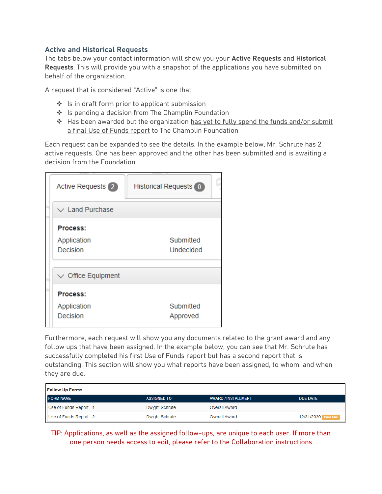## **Active and Historical Requests**

The tabs below your contact information will show you your **Active Requests** and **Historical Requests**. This will provide you with a snapshot of the applications you have submitted on behalf of the organization.

A request that is considered "Active" is one that

- ❖ Is in draft form prior to applicant submission
- ❖ Is pending a decision from The Champlin Foundation
- ❖ Has been awarded but the organization has yet to fully spend the funds and/or submit a final Use of Funds report to The Champlin Foundation

Each request can be expanded to see the details. In the example below, Mr. Schrute has 2 active requests. One has been approved and the other has been submitted and is awaiting a decision from the Foundation.

| <b>Active Requests</b> 2 | <b>Historical Requests</b> 0 |
|--------------------------|------------------------------|
| $\vee$ Land Purchase     |                              |
| Process:                 |                              |
| Application              | Submitted                    |
| Decision                 | Undecided                    |
|                          |                              |
| $\vee$ Office Equipment  |                              |
| Process:                 |                              |
| Application              | Submitted                    |
| Decision                 | Approved                     |

Furthermore, each request will show you any documents related to the grant award and any follow ups that have been assigned. In the example below, you can see that Mr. Schrute has successfully completed his first Use of Funds report but has a second report that is outstanding. This section will show you what reports have been assigned, to whom, and when they are due.

| <b>Follow Up Forms</b>  |                       |                      |                     |  |
|-------------------------|-----------------------|----------------------|---------------------|--|
| <b>FORM NAME</b>        | <b>ASSIGNED TO</b>    | AWARD / INSTALLMENT  | DUE DATE            |  |
| Use of Funds Report - 1 | Dwight Schrute        | Overall Award        |                     |  |
| Use of Funds Report - 2 | <b>Dwight Schrute</b> | <b>Overall Award</b> | 12/31/2020 Past Due |  |

TIP: Applications, as well as the assigned follow-ups, are unique to each user. If more than one person needs access to edit, please refer to the Collaboration instructions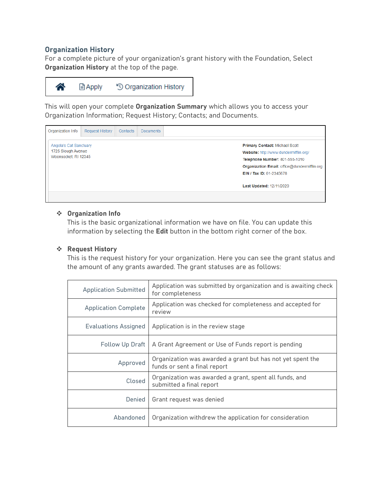## **Organization History**

For a complete picture of your organization's grant history with the Foundation, Select **Organization History** at the top of the page.



This will open your complete **Organization Summary** which allows you to access your Organization Information; Request History; Contacts; and Documents.



#### ❖ **Organization Info**

This is the basic organizational information we have on file. You can update this information by selecting the **Edit** button in the bottom right corner of the box.

### ❖ **Request History**

This is the request history for your organization. Here you can see the grant status and the amount of any grants awarded. The grant statuses are as follows:

| <b>Application Submitted</b> | Application was submitted by organization and is awaiting check<br>for completeness        |
|------------------------------|--------------------------------------------------------------------------------------------|
| <b>Application Complete</b>  | Application was checked for completeness and accepted for<br>review                        |
| Evaluations Assigned         | Application is in the review stage                                                         |
| Follow Up Draft              | A Grant Agreement or Use of Funds report is pending                                        |
| Approved                     | Organization was awarded a grant but has not yet spent the<br>funds or sent a final report |
| Closed                       | Organization was awarded a grant, spent all funds, and<br>submitted a final report         |
| Denied                       | Grant request was denied                                                                   |
| Abandoned                    | Organization withdrew the application for consideration                                    |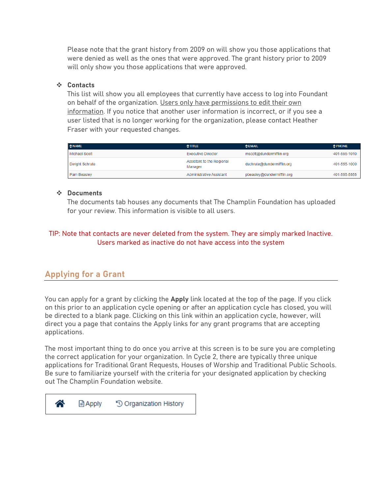Please note that the grant history from 2009 on will show you those applications that were denied as well as the ones that were approved. The grant history prior to 2009 will only show you those applications that were approved.

## ❖ **Contacts**

This list will show you all employees that currently have access to log into Foundant on behalf of the organization. Users only have permissions to edit their own information. If you notice that another user information is incorrect, or if you see a user listed that is no longer working for the organization, please contact Heather Fraser with your requested changes.

| $\Leftrightarrow$ NAME | Arr <sub>LE</sub>                    | $E$ <b>EMAIL</b>           | $\div$ PHONE |
|------------------------|--------------------------------------|----------------------------|--------------|
| Michael Scott          | Executive Director                   | mscott@dundermifflin.org   | 401-555-1010 |
| Dwight Schrute         | Assistant to the Regional<br>Manager | dschrute@dundermifflin.org | 401-555-1000 |
| Pam Beasley            | <b>Administrative Assistant</b>      | pbeasley@dundermifflin.org | 401-555-5555 |

#### ❖ **Documents**

The documents tab houses any documents that The Champlin Foundation has uploaded for your review. This information is visible to all users.

# TIP: Note that contacts are never deleted from the system. They are simply marked Inactive. Users marked as inactive do not have access into the system

# **Applying for a Grant**

You can apply for a grant by clicking the **Apply** link located at the top of the page. If you click on this prior to an application cycle opening or after an application cycle has closed, you will be directed to a blank page. Clicking on this link within an application cycle, however, will direct you a page that contains the Apply links for any grant programs that are accepting applications.

The most important thing to do once you arrive at this screen is to be sure you are completing the correct application for your organization. In Cycle 2, there are typically three unique applications for Traditional Grant Requests, Houses of Worship and Traditional Public Schools. Be sure to familiarize yourself with the criteria for your designated application by checking out The Champlin Foundation website.

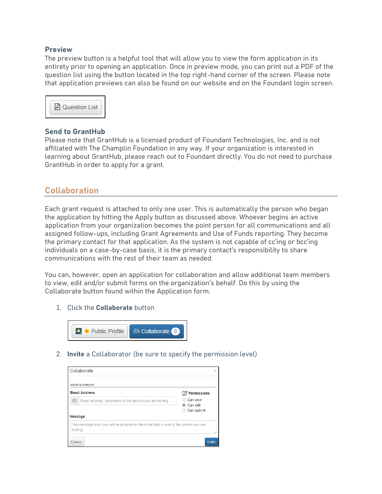#### **Preview**

The preview button is a helpful tool that will allow you to view the form application in its entirety prior to opening an application. Once in preview mode, you can print out a PDF of the question list using the button located in the top right-hand corner of the screen. Please note that application previews can also be found on our website and on the Foundant login screen.



#### **Send to GrantHub**

Please note that GrantHub is a licensed product of Foundant Technologies, Inc. and is not affiliated with The Champlin Foundation in any way. If your organization is interested in learning about GrantHub, please reach out to Foundant directly. You do not need to purchase GrantHub in order to apply for a grant.

# **Collaboration**

Each grant request is attached to only one user. This is automatically the person who began the application by hitting the Apply button as discussed above. Whoever begins an active application from your organization becomes the point person for all communications and all assigned follow-ups, including Grant Agreements and Use of Funds reporting. They become the primary contact for that application. As the system is not capable of cc'ing or bcc'ing individuals on a case-by-case basis, it is the primary contact's responsibility to share communications with the rest of their team as needed.

You can, however, open an application for collaboration and allow additional team members to view, edit and/or submit forms on the organization's behalf. Do this by using the Collaborate button found within the Application form.

1. Click the **Collaborate** button



2. **Invite** a Collaborator (be sure to specify the permission level)

| Collaborate                                                                                        | ×                                  |
|----------------------------------------------------------------------------------------------------|------------------------------------|
| Invite someone                                                                                     |                                    |
| <b>Email Address</b>                                                                               | $\mathbb{Z}$ Permissions           |
| ⊠<br>Email address / usemame of the person you are inviting                                        | Can view<br>Can edit<br>Can submit |
| Message                                                                                            |                                    |
| This message from you will be included in the email that is sent to the person you are<br>invitina |                                    |
| Cancel                                                                                             | <b>Invite</b>                      |